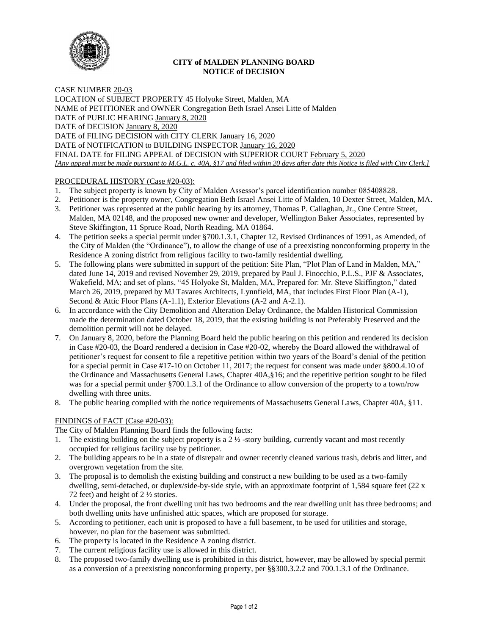

# **CITY of MALDEN PLANNING BOARD NOTICE of DECISION**

CASE NUMBER 20-03 LOCATION of SUBJECT PROPERTY 45 Holyoke Street, Malden, MA NAME of PETITIONER and OWNER Congregation Beth Israel Ansei Litte of Malden DATE of PUBLIC HEARING January 8, 2020 DATE of DECISION January 8, 2020 DATE of FILING DECISION with CITY CLERK January 16, 2020 DATE of NOTIFICATION to BUILDING INSPECTOR January 16, 2020 FINAL DATE for FILING APPEAL of DECISION with SUPERIOR COURT February 5, 2020 *[Any appeal must be made pursuant to M.G.L. c. 40A, §17 and filed within 20 days after date this Notice is filed with City Clerk.]* 

# PROCEDURAL HISTORY (Case #20-03):

- 1. The subject property is known by City of Malden Assessor's parcel identification number 085408828.
- 2. Petitioner is the property owner, Congregation Beth Israel Ansei Litte of Malden, 10 Dexter Street, Malden, MA.
- 3. Petitioner was represented at the public hearing by its attorney, Thomas P. Callaghan, Jr., One Centre Street, Malden, MA 02148, and the proposed new owner and developer, Wellington Baker Associates, represented by Steve Skiffington, 11 Spruce Road, North Reading, MA 01864.
- 4. The petition seeks a special permit under §700.1.3.1, Chapter 12, Revised Ordinances of 1991, as Amended, of the City of Malden (the "Ordinance"), to allow the change of use of a preexisting nonconforming property in the Residence A zoning district from religious facility to two-family residential dwelling.
- 5. The following plans were submitted in support of the petition: Site Plan, "Plot Plan of Land in Malden, MA," dated June 14, 2019 and revised November 29, 2019, prepared by Paul J. Finocchio, P.L.S., PJF & Associates, Wakefield, MA; and set of plans, "45 Holyoke St, Malden, MA, Prepared for: Mr. Steve Skiffington," dated March 26, 2019, prepared by MJ Tavares Architects, Lynnfield, MA, that includes First Floor Plan  $(A-1)$ , Second & Attic Floor Plans (A-1.1), Exterior Elevations (A-2 and A-2.1).
- 6. In accordance with the City Demolition and Alteration Delay Ordinance, the Malden Historical Commission made the determination dated October 18, 2019, that the existing building is not Preferably Preserved and the demolition permit will not be delayed.
- 7. On January 8, 2020, before the Planning Board held the public hearing on this petition and rendered its decision in Case #20-03, the Board rendered a decision in Case #20-02, whereby the Board allowed the withdrawal of petitioner's request for consent to file a repetitive petition within two years of the Board's denial of the petition for a special permit in Case #17-10 on October 11, 2017; the request for consent was made under §800.4.10 of the Ordinance and Massachusetts General Laws, Chapter 40A,§16; and the repetitive petition sought to be filed was for a special permit under §700.1.3.1 of the Ordinance to allow conversion of the property to a town/row dwelling with three units.
- 8. The public hearing complied with the notice requirements of Massachusetts General Laws, Chapter 40A, §11.

# FINDINGS of FACT (Case #20-03):

The City of Malden Planning Board finds the following facts:

- 1. The existing building on the subject property is a 2 ½ -story building, currently vacant and most recently occupied for religious facility use by petitioner.
- 2. The building appears to be in a state of disrepair and owner recently cleaned various trash, debris and litter, and overgrown vegetation from the site.
- 3. The proposal is to demolish the existing building and construct a new building to be used as a two-family dwelling, semi-detached, or duplex/side-by-side style, with an approximate footprint of 1,584 square feet (22 x 72 feet) and height of 2 ½ stories.
- 4. Under the proposal, the front dwelling unit has two bedrooms and the rear dwelling unit has three bedrooms; and both dwelling units have unfinished attic spaces, which are proposed for storage.
- 5. According to petitioner, each unit is proposed to have a full basement, to be used for utilities and storage, however, no plan for the basement was submitted.
- 6. The property is located in the Residence A zoning district.
- 7. The current religious facility use is allowed in this district.
- 8. The proposed two-family dwelling use is prohibited in this district, however, may be allowed by special permit as a conversion of a preexisting nonconforming property, per §§300.3.2.2 and 700.1.3.1 of the Ordinance.